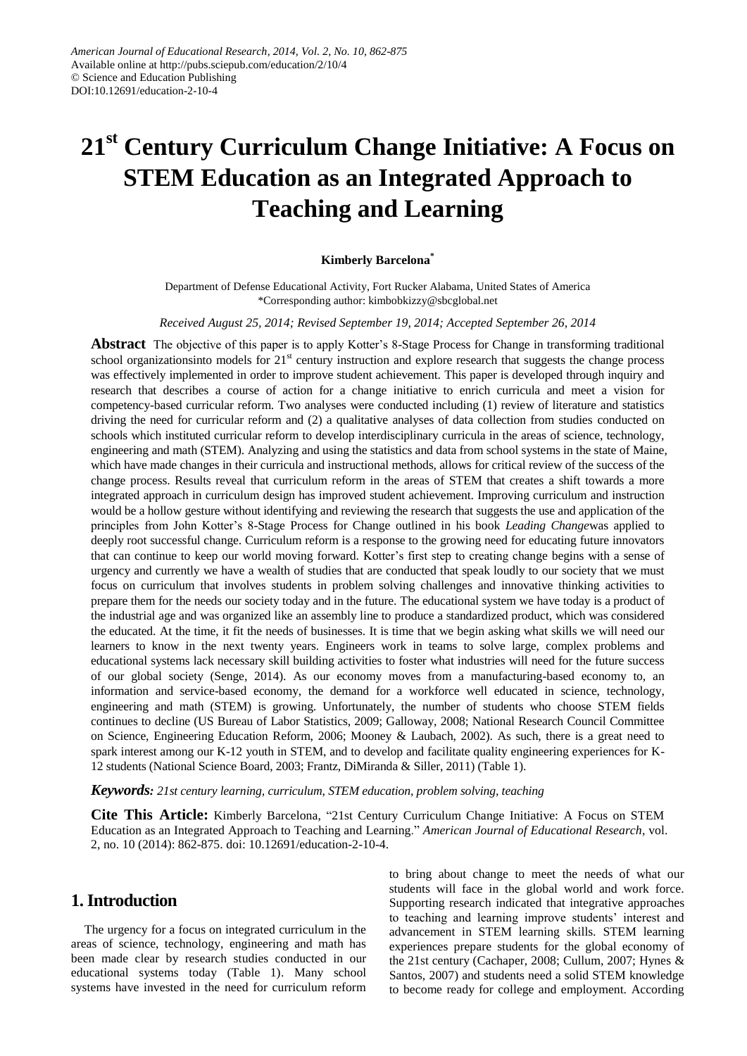## **21st Century Curriculum Change Initiative: A Focus on STEM Education as an Integrated Approach to Teaching and Learning**

#### **Kimberly Barcelona\***

Department of Defense Educational Activity, Fort Rucker Alabama, United States of America \*Corresponding author: kimbobkizzy@sbcglobal.net

*Received August 25, 2014; Revised September 19, 2014; Accepted September 26, 2014*

**Abstract** The objective of this paper is to apply Kotter's 8-Stage Process for Change in transforming traditional school organizationsinto models for  $21<sup>st</sup>$  century instruction and explore research that suggests the change process was effectively implemented in order to improve student achievement. This paper is developed through inquiry and research that describes a course of action for a change initiative to enrich curricula and meet a vision for competency-based curricular reform. Two analyses were conducted including (1) review of literature and statistics driving the need for curricular reform and (2) a qualitative analyses of data collection from studies conducted on schools which instituted curricular reform to develop interdisciplinary curricula in the areas of science, technology, engineering and math (STEM). Analyzing and using the statistics and data from school systems in the state of Maine, which have made changes in their curricula and instructional methods, allows for critical review of the success of the change process. Results reveal that curriculum reform in the areas of STEM that creates a shift towards a more integrated approach in curriculum design has improved student achievement. Improving curriculum and instruction would be a hollow gesture without identifying and reviewing the research that suggests the use and application of the principles from John Kotter's 8-Stage Process for Change outlined in his book *Leading Change*was applied to deeply root successful change. Curriculum reform is a response to the growing need for educating future innovators that can continue to keep our world moving forward. Kotter's first step to creating change begins with a sense of urgency and currently we have a wealth of studies that are conducted that speak loudly to our society that we must focus on curriculum that involves students in problem solving challenges and innovative thinking activities to prepare them for the needs our society today and in the future. The educational system we have today is a product of the industrial age and was organized like an assembly line to produce a standardized product, which was considered the educated. At the time, it fit the needs of businesses. It is time that we begin asking what skills we will need our learners to know in the next twenty years. Engineers work in teams to solve large, complex problems and educational systems lack necessary skill building activities to foster what industries will need for the future success of our global society (Senge, 2014). As our economy moves from a manufacturing-based economy to, an information and service-based economy, the demand for a workforce well educated in science, technology, engineering and math (STEM) is growing. Unfortunately, the number of students who choose STEM fields continues to decline (US Bureau of Labor Statistics, 2009; Galloway, 2008; National Research Council Committee on Science, Engineering Education Reform, 2006; Mooney & Laubach, 2002). As such, there is a great need to spark interest among our K-12 youth in STEM, and to develop and facilitate quality engineering experiences for K-12 students (National Science Board, 2003; Frantz, DiMiranda & Siller, 2011) (Table 1).

*Keywords: 21st century learning, curriculum, STEM education, problem solving, teaching*

**Cite This Article:** Kimberly Barcelona, "21st Century Curriculum Change Initiative: A Focus on STEM Education as an Integrated Approach to Teaching and Learning." *American Journal of Educational Research*, vol. 2, no. 10 (2014): 862-875. doi: 10.12691/education-2-10-4.

### **1. Introduction**

The urgency for a focus on integrated curriculum in the areas of science, technology, engineering and math has been made clear by research studies conducted in our educational systems today (Table 1). Many school systems have invested in the need for curriculum reform to bring about change to meet the needs of what our students will face in the global world and work force. Supporting research indicated that integrative approaches to teaching and learning improve students' interest and advancement in STEM learning skills. STEM learning experiences prepare students for the global economy of the 21st century (Cachaper, 2008; Cullum, 2007; Hynes & Santos, 2007) and students need a solid STEM knowledge to become ready for college and employment. According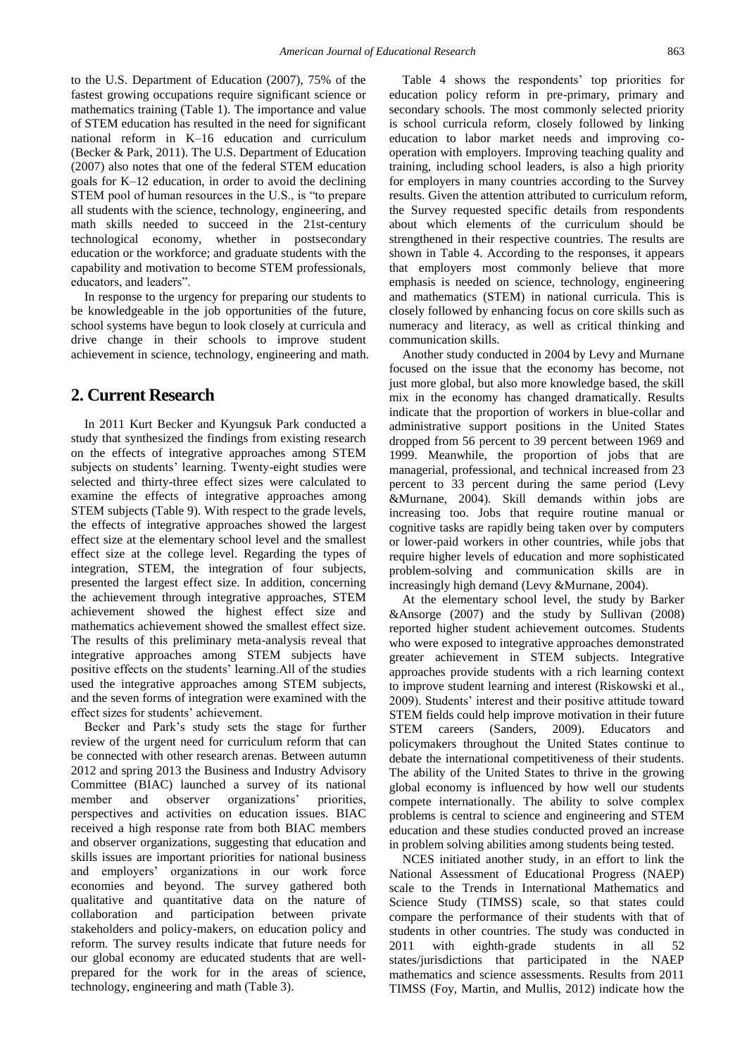to the U.S. Department of Education (2007), 75% of the fastest growing occupations require significant science or mathematics training (Table 1). The importance and value of STEM education has resulted in the need for significant national reform in K–16 education and curriculum (Becker & Park, 2011). The U.S. Department of Education (2007) also notes that one of the federal STEM education goals for K–12 education, in order to avoid the declining STEM pool of human resources in the U.S., is "to prepare all students with the science, technology, engineering, and math skills needed to succeed in the 21st-century technological economy, whether in postsecondary education or the workforce; and graduate students with the capability and motivation to become STEM professionals, educators, and leaders".

In response to the urgency for preparing our students to be knowledgeable in the job opportunities of the future, school systems have begun to look closely at curricula and drive change in their schools to improve student achievement in science, technology, engineering and math.

### **2. Current Research**

In 2011 Kurt Becker and Kyungsuk Park conducted a study that synthesized the findings from existing research on the effects of integrative approaches among STEM subjects on students' learning. Twenty-eight studies were selected and thirty-three effect sizes were calculated to examine the effects of integrative approaches among STEM subjects (Table 9). With respect to the grade levels, the effects of integrative approaches showed the largest effect size at the elementary school level and the smallest effect size at the college level. Regarding the types of integration, STEM, the integration of four subjects, presented the largest effect size. In addition, concerning the achievement through integrative approaches, STEM achievement showed the highest effect size and mathematics achievement showed the smallest effect size. The results of this preliminary meta-analysis reveal that integrative approaches among STEM subjects have positive effects on the students' learning.All of the studies used the integrative approaches among STEM subjects, and the seven forms of integration were examined with the effect sizes for students' achievement.

Becker and Park's study sets the stage for further review of the urgent need for curriculum reform that can be connected with other research arenas. Between autumn 2012 and spring 2013 the Business and Industry Advisory Committee (BIAC) launched a survey of its national member and observer organizations' priorities, perspectives and activities on education issues. BIAC received a high response rate from both BIAC members and observer organizations, suggesting that education and skills issues are important priorities for national business and employers' organizations in our work force economies and beyond. The survey gathered both qualitative and quantitative data on the nature of collaboration and participation between private stakeholders and policy-makers, on education policy and reform. The survey results indicate that future needs for our global economy are educated students that are wellprepared for the work for in the areas of science, technology, engineering and math (Table 3).

Table 4 shows the respondents' top priorities for education policy reform in pre-primary, primary and secondary schools. The most commonly selected priority is school curricula reform, closely followed by linking education to labor market needs and improving cooperation with employers. Improving teaching quality and training, including school leaders, is also a high priority for employers in many countries according to the Survey results. Given the attention attributed to curriculum reform, the Survey requested specific details from respondents about which elements of the curriculum should be strengthened in their respective countries. The results are shown in Table 4. According to the responses, it appears that employers most commonly believe that more emphasis is needed on science, technology, engineering and mathematics (STEM) in national curricula. This is closely followed by enhancing focus on core skills such as numeracy and literacy, as well as critical thinking and communication skills.

Another study conducted in 2004 by Levy and Murnane focused on the issue that the economy has become, not just more global, but also more knowledge based, the skill mix in the economy has changed dramatically. Results indicate that the proportion of workers in blue-collar and administrative support positions in the United States dropped from 56 percent to 39 percent between 1969 and 1999. Meanwhile, the proportion of jobs that are managerial, professional, and technical increased from 23 percent to 33 percent during the same period (Levy &Murnane, 2004). Skill demands within jobs are increasing too. Jobs that require routine manual or cognitive tasks are rapidly being taken over by computers or lower-paid workers in other countries, while jobs that require higher levels of education and more sophisticated problem-solving and communication skills are in increasingly high demand (Levy &Murnane, 2004).

At the elementary school level, the study by Barker &Ansorge (2007) and the study by Sullivan (2008) reported higher student achievement outcomes. Students who were exposed to integrative approaches demonstrated greater achievement in STEM subjects. Integrative approaches provide students with a rich learning context to improve student learning and interest (Riskowski et al., 2009). Students' interest and their positive attitude toward STEM fields could help improve motivation in their future STEM careers (Sanders, 2009). Educators and policymakers throughout the United States continue to debate the international competitiveness of their students. The ability of the United States to thrive in the growing global economy is influenced by how well our students compete internationally. The ability to solve complex problems is central to science and engineering and STEM education and these studies conducted proved an increase in problem solving abilities among students being tested.

NCES initiated another study, in an effort to link the National Assessment of Educational Progress (NAEP) scale to the Trends in International Mathematics and Science Study (TIMSS) scale, so that states could compare the performance of their students with that of students in other countries. The study was conducted in 2011 with eighth-grade students in all 52 states/jurisdictions that participated in the NAEP mathematics and science assessments. Results from 2011 TIMSS (Foy, Martin, and Mullis, 2012) indicate how the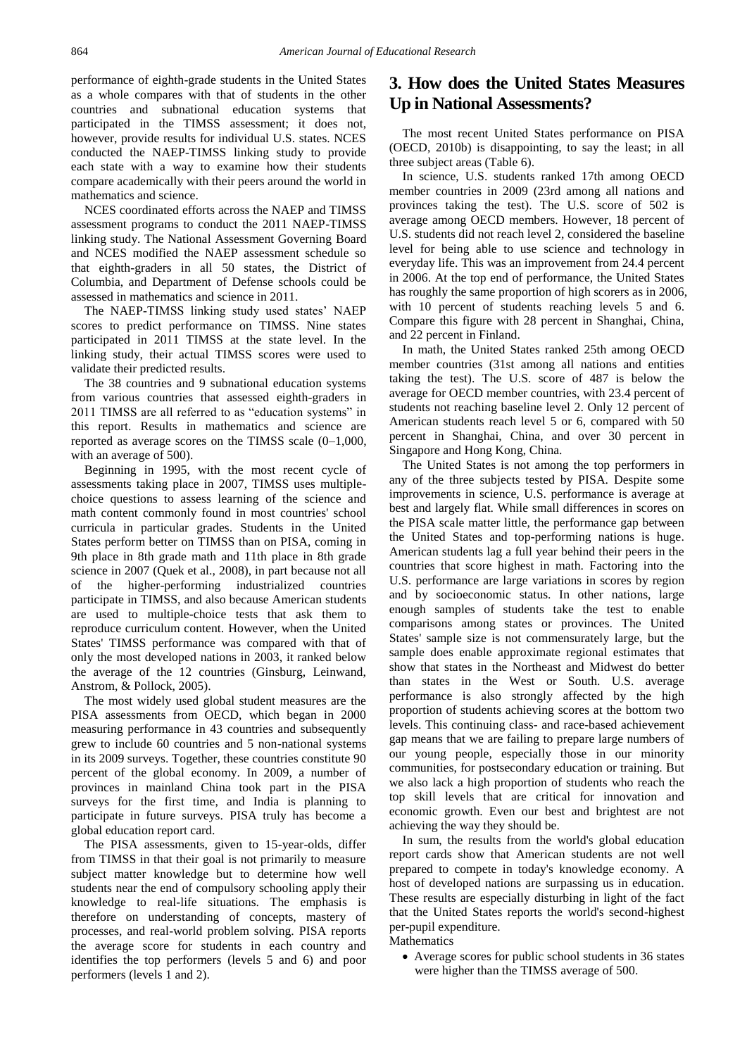performance of eighth-grade students in the United States as a whole compares with that of students in the other countries and subnational education systems that participated in the TIMSS assessment; it does not, however, provide results for individual U.S. states. NCES conducted the NAEP-TIMSS linking study to provide each state with a way to examine how their students compare academically with their peers around the world in mathematics and science.

NCES coordinated efforts across the NAEP and TIMSS assessment programs to conduct the 2011 NAEP-TIMSS linking study. The National Assessment Governing Board and NCES modified the NAEP assessment schedule so that eighth-graders in all 50 states, the District of Columbia, and Department of Defense schools could be assessed in mathematics and science in 2011.

The NAEP-TIMSS linking study used states' NAEP scores to predict performance on TIMSS. Nine states participated in 2011 TIMSS at the state level. In the linking study, their actual TIMSS scores were used to validate their predicted results.

The 38 countries and 9 subnational education systems from various countries that assessed eighth-graders in 2011 TIMSS are all referred to as "education systems" in this report. Results in mathematics and science are reported as average scores on the TIMSS scale (0–1,000, with an average of 500).

Beginning in 1995, with the most recent cycle of assessments taking place in 2007, TIMSS uses multiplechoice questions to assess learning of the science and math content commonly found in most countries' school curricula in particular grades. Students in the United States perform better on TIMSS than on PISA, coming in 9th place in 8th grade math and 11th place in 8th grade science in 2007 (Quek et al., 2008), in part because not all of the higher-performing industrialized countries participate in TIMSS, and also because American students are used to multiple-choice tests that ask them to reproduce curriculum content. However, when the United States' TIMSS performance was compared with that of only the most developed nations in 2003, it ranked below the average of the 12 countries (Ginsburg, Leinwand, Anstrom, & Pollock, 2005).

The most widely used global student measures are the PISA assessments from OECD, which began in 2000 measuring performance in 43 countries and subsequently grew to include 60 countries and 5 non-national systems in its 2009 surveys. Together, these countries constitute 90 percent of the global economy. In 2009, a number of provinces in mainland China took part in the PISA surveys for the first time, and India is planning to participate in future surveys. PISA truly has become a global education report card.

The PISA assessments, given to 15-year-olds, differ from TIMSS in that their goal is not primarily to measure subject matter knowledge but to determine how well students near the end of compulsory schooling apply their knowledge to real-life situations. The emphasis is therefore on understanding of concepts, mastery of processes, and real-world problem solving. PISA reports the average score for students in each country and identifies the top performers (levels 5 and 6) and poor performers (levels 1 and 2).

### **3. How does the United States Measures Up in National Assessments?**

The most recent United States performance on PISA (OECD, 2010b) is disappointing, to say the least; in all three subject areas (Table 6).

In science, U.S. students ranked 17th among OECD member countries in 2009 (23rd among all nations and provinces taking the test). The U.S. score of 502 is average among OECD members. However, 18 percent of U.S. students did not reach level 2, considered the baseline level for being able to use science and technology in everyday life. This was an improvement from 24.4 percent in 2006. At the top end of performance, the United States has roughly the same proportion of high scorers as in 2006, with 10 percent of students reaching levels 5 and 6. Compare this figure with 28 percent in Shanghai, China, and 22 percent in Finland.

In math, the United States ranked 25th among OECD member countries (31st among all nations and entities taking the test). The U.S. score of 487 is below the average for OECD member countries, with 23.4 percent of students not reaching baseline level 2. Only 12 percent of American students reach level 5 or 6, compared with 50 percent in Shanghai, China, and over 30 percent in Singapore and Hong Kong, China.

The United States is not among the top performers in any of the three subjects tested by PISA. Despite some improvements in science, U.S. performance is average at best and largely flat. While small differences in scores on the PISA scale matter little, the performance gap between the United States and top-performing nations is huge. American students lag a full year behind their peers in the countries that score highest in math. Factoring into the U.S. performance are large variations in scores by region and by socioeconomic status. In other nations, large enough samples of students take the test to enable comparisons among states or provinces. The United States' sample size is not commensurately large, but the sample does enable approximate regional estimates that show that states in the Northeast and Midwest do better than states in the West or South. U.S. average performance is also strongly affected by the high proportion of students achieving scores at the bottom two levels. This continuing class- and race-based achievement gap means that we are failing to prepare large numbers of our young people, especially those in our minority communities, for postsecondary education or training. But we also lack a high proportion of students who reach the top skill levels that are critical for innovation and economic growth. Even our best and brightest are not achieving the way they should be.

In sum, the results from the world's global education report cards show that American students are not well prepared to compete in today's knowledge economy. A host of developed nations are surpassing us in education. These results are especially disturbing in light of the fact that the United States reports the world's second-highest per-pupil expenditure.

### Mathematics

 Average scores for public school students in 36 states were higher than the TIMSS average of 500.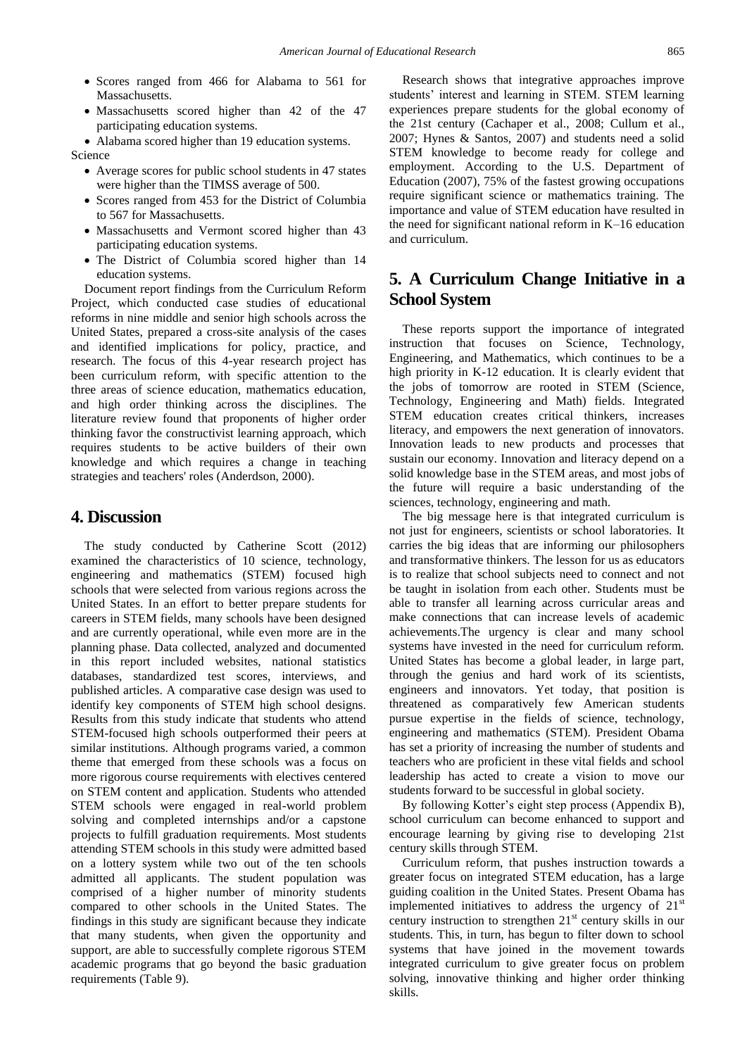- Scores ranged from 466 for Alabama to 561 for Massachusetts.
- Massachusetts scored higher than 42 of the 47 participating education systems.

• Alabama scored higher than 19 education systems.

Science

- Average scores for public school students in 47 states were higher than the TIMSS average of 500.
- Scores ranged from 453 for the District of Columbia to 567 for Massachusetts.
- Massachusetts and Vermont scored higher than 43 participating education systems.
- The District of Columbia scored higher than 14 education systems.

Document report findings from the Curriculum Reform Project, which conducted case studies of educational reforms in nine middle and senior high schools across the United States, prepared a cross-site analysis of the cases and identified implications for policy, practice, and research. The focus of this 4-year research project has been curriculum reform, with specific attention to the three areas of science education, mathematics education, and high order thinking across the disciplines. The literature review found that proponents of higher order thinking favor the constructivist learning approach, which requires students to be active builders of their own knowledge and which requires a change in teaching strategies and teachers' roles (Anderdson, 2000).

### **4. Discussion**

The study conducted by Catherine Scott (2012) examined the characteristics of 10 science, technology, engineering and mathematics (STEM) focused high schools that were selected from various regions across the United States. In an effort to better prepare students for careers in STEM fields, many schools have been designed and are currently operational, while even more are in the planning phase. Data collected, analyzed and documented in this report included websites, national statistics databases, standardized test scores, interviews, and published articles. A comparative case design was used to identify key components of STEM high school designs. Results from this study indicate that students who attend STEM-focused high schools outperformed their peers at similar institutions. Although programs varied, a common theme that emerged from these schools was a focus on more rigorous course requirements with electives centered on STEM content and application. Students who attended STEM schools were engaged in real-world problem solving and completed internships and/or a capstone projects to fulfill graduation requirements. Most students attending STEM schools in this study were admitted based on a lottery system while two out of the ten schools admitted all applicants. The student population was comprised of a higher number of minority students compared to other schools in the United States. The findings in this study are significant because they indicate that many students, when given the opportunity and support, are able to successfully complete rigorous STEM academic programs that go beyond the basic graduation requirements (Table 9).

Research shows that integrative approaches improve students' interest and learning in STEM. STEM learning experiences prepare students for the global economy of the 21st century (Cachaper et al., 2008; Cullum et al., 2007; Hynes & Santos, 2007) and students need a solid STEM knowledge to become ready for college and employment. According to the U.S. Department of Education (2007), 75% of the fastest growing occupations require significant science or mathematics training. The importance and value of STEM education have resulted in the need for significant national reform in K–16 education and curriculum.

### **5. A Curriculum Change Initiative in a School System**

These reports support the importance of integrated instruction that focuses on Science, Technology, Engineering, and Mathematics, which continues to be a high priority in K-12 education. It is clearly evident that the jobs of tomorrow are rooted in STEM (Science, Technology, Engineering and Math) fields. Integrated STEM education creates critical thinkers, increases literacy, and empowers the next generation of innovators. Innovation leads to new products and processes that sustain our economy. Innovation and literacy depend on a solid knowledge base in the STEM areas, and most jobs of the future will require a basic understanding of the sciences, technology, engineering and math.

The big message here is that integrated curriculum is not just for engineers, scientists or school laboratories. It carries the big ideas that are informing our philosophers and transformative thinkers. The lesson for us as educators is to realize that school subjects need to connect and not be taught in isolation from each other. Students must be able to transfer all learning across curricular areas and make connections that can increase levels of academic achievements.The urgency is clear and many school systems have invested in the need for curriculum reform. United States has become a global leader, in large part, through the genius and hard work of its scientists, engineers and innovators. Yet today, that position is threatened as comparatively few American students pursue expertise in the fields of science, technology, engineering and mathematics (STEM). President Obama has set a priority of increasing the number of students and teachers who are proficient in these vital fields and school leadership has acted to create a vision to move our students forward to be successful in global society.

By following Kotter's eight step process (Appendix B), school curriculum can become enhanced to support and encourage learning by giving rise to developing 21st century skills through STEM.

Curriculum reform, that pushes instruction towards a greater focus on integrated STEM education, has a large guiding coalition in the United States. Present Obama has implemented initiatives to address the urgency of  $21<sup>st</sup>$ century instruction to strengthen  $21<sup>st</sup>$  century skills in our students. This, in turn, has begun to filter down to school systems that have joined in the movement towards integrated curriculum to give greater focus on problem solving, innovative thinking and higher order thinking skills.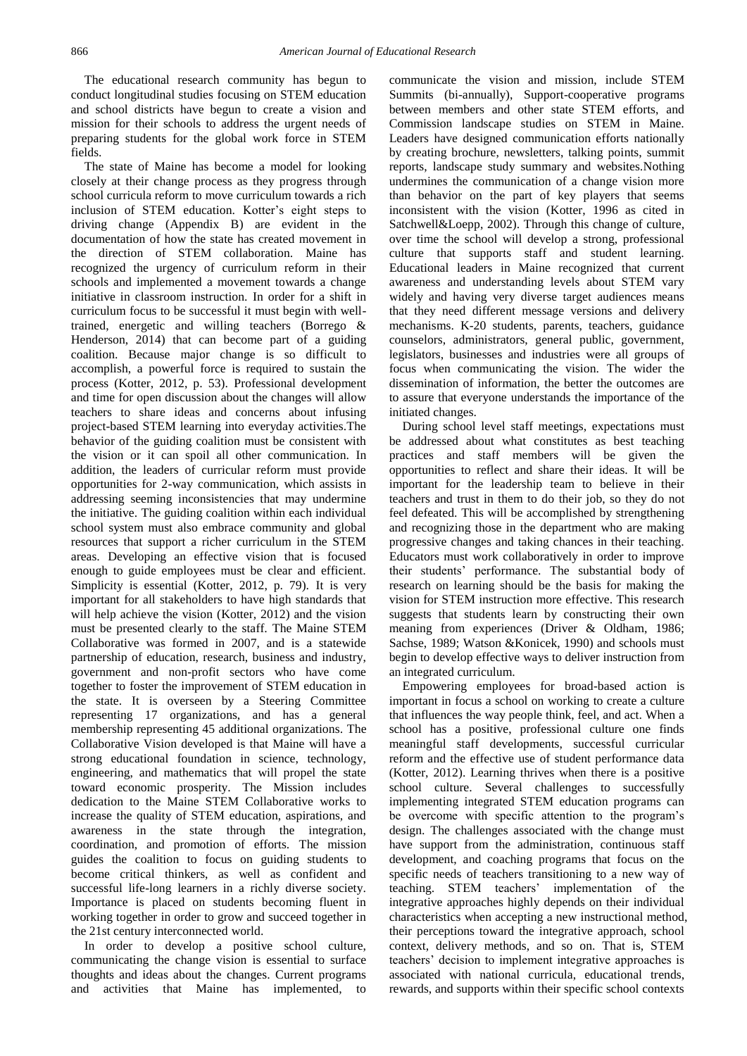The educational research community has begun to conduct longitudinal studies focusing on STEM education and school districts have begun to create a vision and mission for their schools to address the urgent needs of preparing students for the global work force in STEM fields.

The state of Maine has become a model for looking closely at their change process as they progress through school curricula reform to move curriculum towards a rich inclusion of STEM education. Kotter's eight steps to driving change (Appendix B) are evident in the documentation of how the state has created movement in the direction of STEM collaboration. Maine has recognized the urgency of curriculum reform in their schools and implemented a movement towards a change initiative in classroom instruction. In order for a shift in curriculum focus to be successful it must begin with welltrained, energetic and willing teachers (Borrego & Henderson, 2014) that can become part of a guiding coalition. Because major change is so difficult to accomplish, a powerful force is required to sustain the process (Kotter, 2012, p. 53). Professional development and time for open discussion about the changes will allow teachers to share ideas and concerns about infusing project-based STEM learning into everyday activities.The behavior of the guiding coalition must be consistent with the vision or it can spoil all other communication. In addition, the leaders of curricular reform must provide opportunities for 2-way communication, which assists in addressing seeming inconsistencies that may undermine the initiative. The guiding coalition within each individual school system must also embrace community and global resources that support a richer curriculum in the STEM areas. Developing an effective vision that is focused enough to guide employees must be clear and efficient. Simplicity is essential (Kotter, 2012, p. 79). It is very important for all stakeholders to have high standards that will help achieve the vision (Kotter, 2012) and the vision must be presented clearly to the staff. The Maine STEM Collaborative was formed in 2007, and is a statewide partnership of education, research, business and industry, government and non-profit sectors who have come together to foster the improvement of STEM education in the state. It is overseen by a Steering Committee representing 17 organizations, and has a general membership representing 45 additional organizations. The Collaborative Vision developed is that Maine will have a strong educational foundation in science, technology, engineering, and mathematics that will propel the state toward economic prosperity. The Mission includes dedication to the Maine STEM Collaborative works to increase the quality of STEM education, aspirations, and awareness in the state through the integration, coordination, and promotion of efforts. The mission guides the coalition to focus on guiding students to become critical thinkers, as well as confident and successful life-long learners in a richly diverse society. Importance is placed on students becoming fluent in working together in order to grow and succeed together in the 21st century interconnected world.

In order to develop a positive school culture, communicating the change vision is essential to surface thoughts and ideas about the changes. Current programs and activities that Maine has implemented, to

communicate the vision and mission, include STEM Summits (bi-annually), Support-cooperative programs between members and other state STEM efforts, and Commission landscape studies on STEM in Maine. Leaders have designed communication efforts nationally by creating brochure, newsletters, talking points, summit reports, landscape study summary and websites.Nothing undermines the communication of a change vision more than behavior on the part of key players that seems inconsistent with the vision (Kotter, 1996 as cited in Satchwell&Loepp, 2002). Through this change of culture, over time the school will develop a strong, professional culture that supports staff and student learning. Educational leaders in Maine recognized that current awareness and understanding levels about STEM vary widely and having very diverse target audiences means that they need different message versions and delivery mechanisms. K-20 students, parents, teachers, guidance counselors, administrators, general public, government, legislators, businesses and industries were all groups of focus when communicating the vision. The wider the dissemination of information, the better the outcomes are to assure that everyone understands the importance of the initiated changes.

During school level staff meetings, expectations must be addressed about what constitutes as best teaching practices and staff members will be given the opportunities to reflect and share their ideas. It will be important for the leadership team to believe in their teachers and trust in them to do their job, so they do not feel defeated. This will be accomplished by strengthening and recognizing those in the department who are making progressive changes and taking chances in their teaching. Educators must work collaboratively in order to improve their students' performance. The substantial body of research on learning should be the basis for making the vision for STEM instruction more effective. This research suggests that students learn by constructing their own meaning from experiences (Driver & Oldham, 1986; Sachse, 1989; Watson &Konicek, 1990) and schools must begin to develop effective ways to deliver instruction from an integrated curriculum.

Empowering employees for broad-based action is important in focus a school on working to create a culture that influences the way people think, feel, and act. When a school has a positive, professional culture one finds meaningful staff developments, successful curricular reform and the effective use of student performance data (Kotter, 2012). Learning thrives when there is a positive school culture. Several challenges to successfully implementing integrated STEM education programs can be overcome with specific attention to the program's design. The challenges associated with the change must have support from the administration, continuous staff development, and coaching programs that focus on the specific needs of teachers transitioning to a new way of teaching. STEM teachers' implementation of the integrative approaches highly depends on their individual characteristics when accepting a new instructional method, their perceptions toward the integrative approach, school context, delivery methods, and so on. That is, STEM teachers' decision to implement integrative approaches is associated with national curricula, educational trends, rewards, and supports within their specific school contexts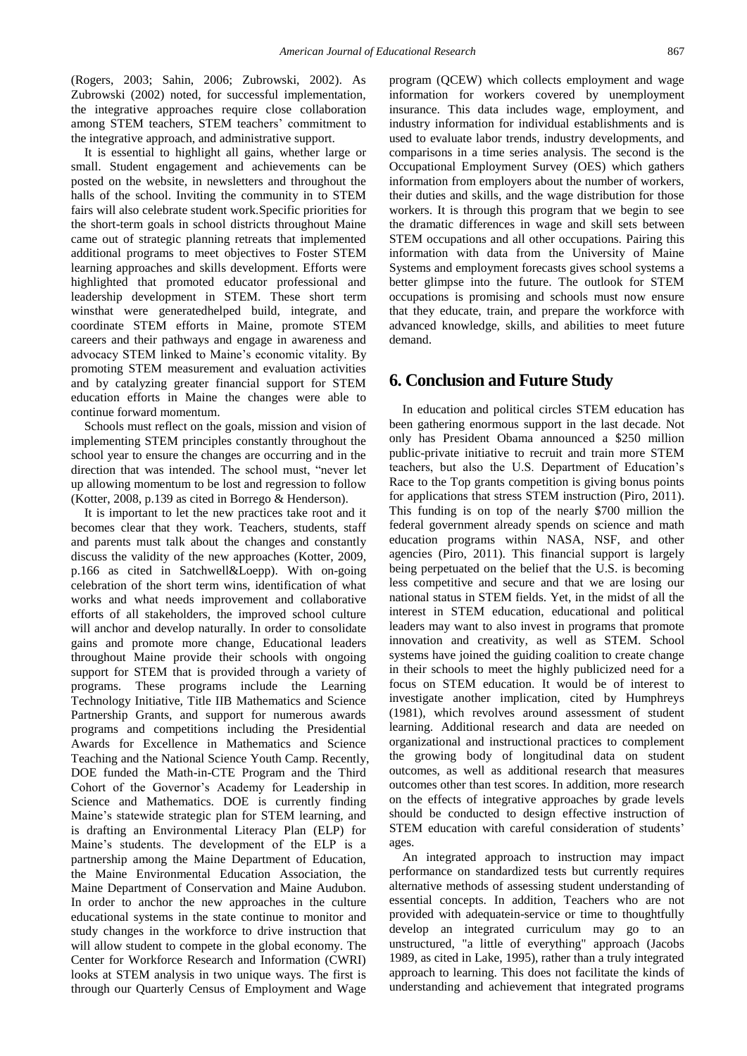(Rogers, 2003; Sahin, 2006; Zubrowski, 2002). As Zubrowski (2002) noted, for successful implementation, the integrative approaches require close collaboration among STEM teachers, STEM teachers' commitment to the integrative approach, and administrative support.

It is essential to highlight all gains, whether large or small. Student engagement and achievements can be posted on the website, in newsletters and throughout the halls of the school. Inviting the community in to STEM fairs will also celebrate student work.Specific priorities for the short-term goals in school districts throughout Maine came out of strategic planning retreats that implemented additional programs to meet objectives to Foster STEM learning approaches and skills development. Efforts were highlighted that promoted educator professional and leadership development in STEM. These short term winsthat were generatedhelped build, integrate, and coordinate STEM efforts in Maine, promote STEM careers and their pathways and engage in awareness and advocacy STEM linked to Maine's economic vitality. By promoting STEM measurement and evaluation activities and by catalyzing greater financial support for STEM education efforts in Maine the changes were able to continue forward momentum.

Schools must reflect on the goals, mission and vision of implementing STEM principles constantly throughout the school year to ensure the changes are occurring and in the direction that was intended. The school must, "never let up allowing momentum to be lost and regression to follow (Kotter, 2008, p.139 as cited in Borrego & Henderson).

It is important to let the new practices take root and it becomes clear that they work. Teachers, students, staff and parents must talk about the changes and constantly discuss the validity of the new approaches (Kotter, 2009, p.166 as cited in Satchwell&Loepp). With on-going celebration of the short term wins, identification of what works and what needs improvement and collaborative efforts of all stakeholders, the improved school culture will anchor and develop naturally. In order to consolidate gains and promote more change, Educational leaders throughout Maine provide their schools with ongoing support for STEM that is provided through a variety of programs. These programs include the Learning Technology Initiative, Title IIB Mathematics and Science Partnership Grants, and support for numerous awards programs and competitions including the Presidential Awards for Excellence in Mathematics and Science Teaching and the National Science Youth Camp. Recently, DOE funded the Math-in-CTE Program and the Third Cohort of the Governor's Academy for Leadership in Science and Mathematics. DOE is currently finding Maine's statewide strategic plan for STEM learning, and is drafting an Environmental Literacy Plan (ELP) for Maine's students. The development of the ELP is a partnership among the Maine Department of Education, the Maine Environmental Education Association, the Maine Department of Conservation and Maine Audubon. In order to anchor the new approaches in the culture educational systems in the state continue to monitor and study changes in the workforce to drive instruction that will allow student to compete in the global economy. The Center for Workforce Research and Information (CWRI) looks at STEM analysis in two unique ways. The first is through our Quarterly Census of Employment and Wage

program (QCEW) which collects employment and wage information for workers covered by unemployment insurance. This data includes wage, employment, and industry information for individual establishments and is used to evaluate labor trends, industry developments, and comparisons in a time series analysis. The second is the Occupational Employment Survey (OES) which gathers information from employers about the number of workers, their duties and skills, and the wage distribution for those workers. It is through this program that we begin to see the dramatic differences in wage and skill sets between STEM occupations and all other occupations. Pairing this information with data from the University of Maine Systems and employment forecasts gives school systems a better glimpse into the future. The outlook for STEM occupations is promising and schools must now ensure that they educate, train, and prepare the workforce with advanced knowledge, skills, and abilities to meet future demand.

### **6. Conclusion and Future Study**

In education and political circles STEM education has been gathering enormous support in the last decade. Not only has President Obama announced a \$250 million public-private initiative to recruit and train more STEM teachers, but also the U.S. Department of Education's Race to the Top grants competition is giving bonus points for applications that stress STEM instruction (Piro, 2011). This funding is on top of the nearly \$700 million the federal government already spends on science and math education programs within NASA, NSF, and other agencies (Piro, 2011). This financial support is largely being perpetuated on the belief that the U.S. is becoming less competitive and secure and that we are losing our national status in STEM fields. Yet, in the midst of all the interest in STEM education, educational and political leaders may want to also invest in programs that promote innovation and creativity, as well as STEM. School systems have joined the guiding coalition to create change in their schools to meet the highly publicized need for a focus on STEM education. It would be of interest to investigate another implication, cited by Humphreys (1981), which revolves around assessment of student learning. Additional research and data are needed on organizational and instructional practices to complement the growing body of longitudinal data on student outcomes, as well as additional research that measures outcomes other than test scores. In addition, more research on the effects of integrative approaches by grade levels should be conducted to design effective instruction of STEM education with careful consideration of students' ages.

An integrated approach to instruction may impact performance on standardized tests but currently requires alternative methods of assessing student understanding of essential concepts. In addition, Teachers who are not provided with adequatein-service or time to thoughtfully develop an integrated curriculum may go to an unstructured, "a little of everything" approach (Jacobs 1989, as cited in Lake, 1995), rather than a truly integrated approach to learning. This does not facilitate the kinds of understanding and achievement that integrated programs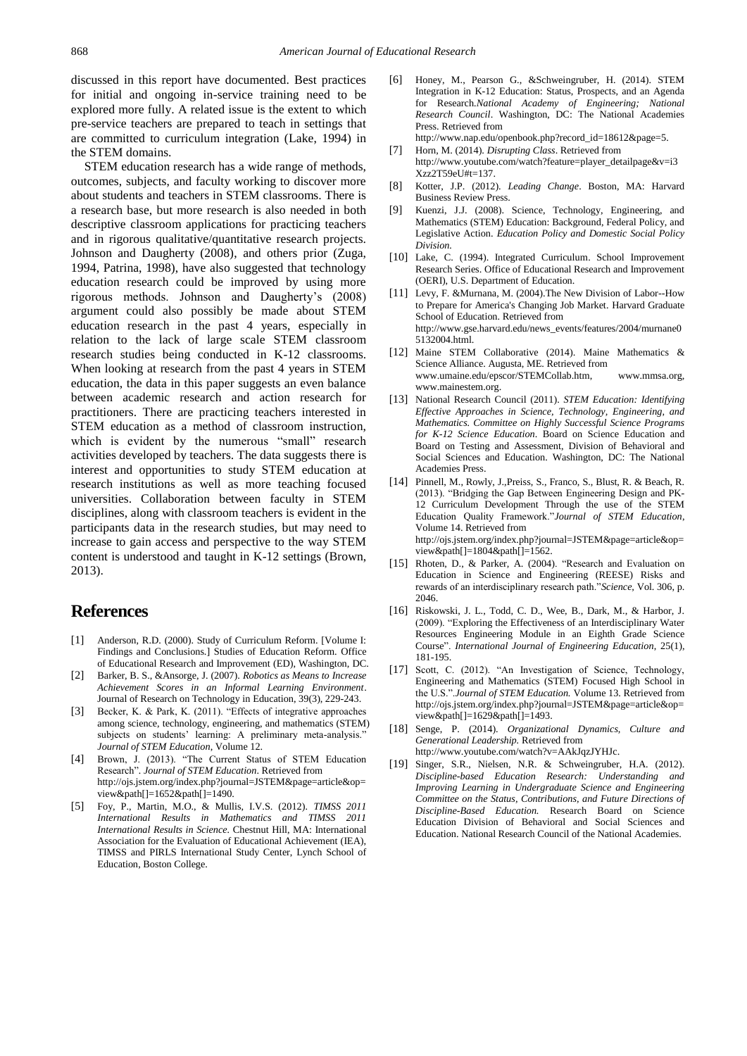discussed in this report have documented. Best practices for initial and ongoing in-service training need to be explored more fully. A related issue is the extent to which pre-service teachers are prepared to teach in settings that are committed to curriculum integration (Lake, 1994) in the STEM domains.

STEM education research has a wide range of methods, outcomes, subjects, and faculty working to discover more about students and teachers in STEM classrooms. There is a research base, but more research is also needed in both descriptive classroom applications for practicing teachers and in rigorous qualitative/quantitative research projects. Johnson and Daugherty (2008), and others prior (Zuga, 1994, Patrina, 1998), have also suggested that technology education research could be improved by using more rigorous methods. Johnson and Daugherty's (2008) argument could also possibly be made about STEM education research in the past 4 years, especially in relation to the lack of large scale STEM classroom research studies being conducted in K-12 classrooms. When looking at research from the past 4 years in STEM education, the data in this paper suggests an even balance between academic research and action research for practitioners. There are practicing teachers interested in STEM education as a method of classroom instruction, which is evident by the numerous "small" research activities developed by teachers. The data suggests there is interest and opportunities to study STEM education at research institutions as well as more teaching focused universities. Collaboration between faculty in STEM disciplines, along with classroom teachers is evident in the participants data in the research studies, but may need to increase to gain access and perspective to the way STEM content is understood and taught in K-12 settings (Brown, 2013).

### **References**

- [1] Anderson, R.D. (2000). Study of Curriculum Reform. [Volume I: Findings and Conclusions.] Studies of Education Reform. Office of Educational Research and Improvement (ED), Washington, DC.
- [2] Barker, B. S., &Ansorge, J. (2007). *Robotics as Means to Increase Achievement Scores in an Informal Learning Environment*. Journal of Research on Technology in Education, 39(3), 229-243.
- [3] Becker, K. & Park, K. (2011). "Effects of integrative approaches among science, technology, engineering, and mathematics (STEM) subjects on students' learning: A preliminary meta-analysis." *Journal of STEM Education*, Volume 12.
- [4] Brown, J. (2013). "The Current Status of STEM Education Research"*. Journal of STEM Education*. Retrieved from http://ojs.jstem.org/index.php?journal=JSTEM&page=article&op= view&path[]=1652&path[]=1490.
- [5] Foy, P., Martin, M.O., & Mullis, I.V.S. (2012). *TIMSS 2011 International Results in Mathematics and TIMSS 2011 International Results in Science.* Chestnut Hill, MA: International Association for the Evaluation of Educational Achievement (IEA), TIMSS and PIRLS International Study Center, Lynch School of Education, Boston College.
- [6] Honey, M., Pearson G., &Schweingruber, H. (2014). STEM Integration in K-12 Education: Status, Prospects, and an Agenda for Research*.National Academy of Engineering; National Research Council*. Washington, DC: The National Academies Press. Retrieved from
- http://www.nap.edu/openbook.php?record\_id=18612&page=5. [7] Horn, M. (2014). *Disrupting Class*. Retrieved from
- http://www.youtube.com/watch?feature=player\_detailpage&v=i3 Xzz2T59eU#t=137.
- [8] Kotter, J.P. (2012). *Leading Change*. Boston, MA: Harvard Business Review Press.
- [9] Kuenzi, J.J. (2008). Science, Technology, Engineering, and Mathematics (STEM) Education: Background, Federal Policy, and Legislative Action. *Education Policy and Domestic Social Policy Division.*
- [10] Lake, C. (1994). Integrated Curriculum. School Improvement Research Series. Office of Educational Research and Improvement (OERI), U.S. Department of Education.
- [11] Levy, F. &Murnana, M. (2004).The New Division of Labor--How to Prepare for America's Changing Job Market. Harvard Graduate School of Education. Retrieved from http://www.gse.harvard.edu/news\_events/features/2004/murnane0 5132004.html.
- [12] Maine STEM Collaborative (2014). Maine Mathematics & Science Alliance. Augusta, ME. Retrieved from www.umaine.edu/epscor/STEMCollab.htm, www.mmsa.org, www.mainestem.org.
- [13] National Research Council (2011). *STEM Education: Identifying Effective Approaches in Science, Technology, Engineering, and Mathematics. Committee on Highly Successful Science Programs for K-12 Science Education*. Board on Science Education and Board on Testing and Assessment, Division of Behavioral and Social Sciences and Education. Washington, DC: The National Academies Press.
- [14] Pinnell, M., Rowly, J.,Preiss, S., Franco, S., Blust, R. & Beach, R. (2013). "Bridging the Gap Between Engineering Design and PK-12 Curriculum Development Through the use of the STEM Education Quality Framework."*Journal of STEM Education*, Volume 14. Retrieved from http://ojs.jstem.org/index.php?journal=JSTEM&page=article&op= view&path[]=1804&path[]=1562.
- [15] Rhoten, D., & Parker, A. (2004). "Research and Evaluation on Education in Science and Engineering (REESE) Risks and rewards of an interdisciplinary research path."*Science,* Vol. 306, p. 2046.
- [16] Riskowski, J. L., Todd, C. D., Wee, B., Dark, M., & Harbor, J. (2009). "Exploring the Effectiveness of an Interdisciplinary Water Resources Engineering Module in an Eighth Grade Science Course". *International Journal of Engineering Education*, 25(1), 181-195.
- [17] Scott, C. (2012). "An Investigation of Science, Technology, Engineering and Mathematics (STEM) Focused High School in the U.S.".*Journal of STEM Education.* Volume 13. Retrieved from http://ojs.jstem.org/index.php?journal=JSTEM&page=article&op= view&path[]=1629&path[]=1493.
- [18] Senge, P. (2014). *Organizational Dynamics, Culture and Generational Leadership.* Retrieved from http://www.youtube.com/watch?v=AAkJqzJYHJc.
- [19] Singer, S.R., Nielsen, N.R. & Schweingruber, H.A. (2012). *Discipline-based Education Research: Understanding and Improving Learning in Undergraduate Science and Engineering Committee on the Status, Contributions, and Future Directions of Discipline-Based Education.* Research Board on Science Education Division of Behavioral and Social Sciences and Education. National Research Council of the National Academies.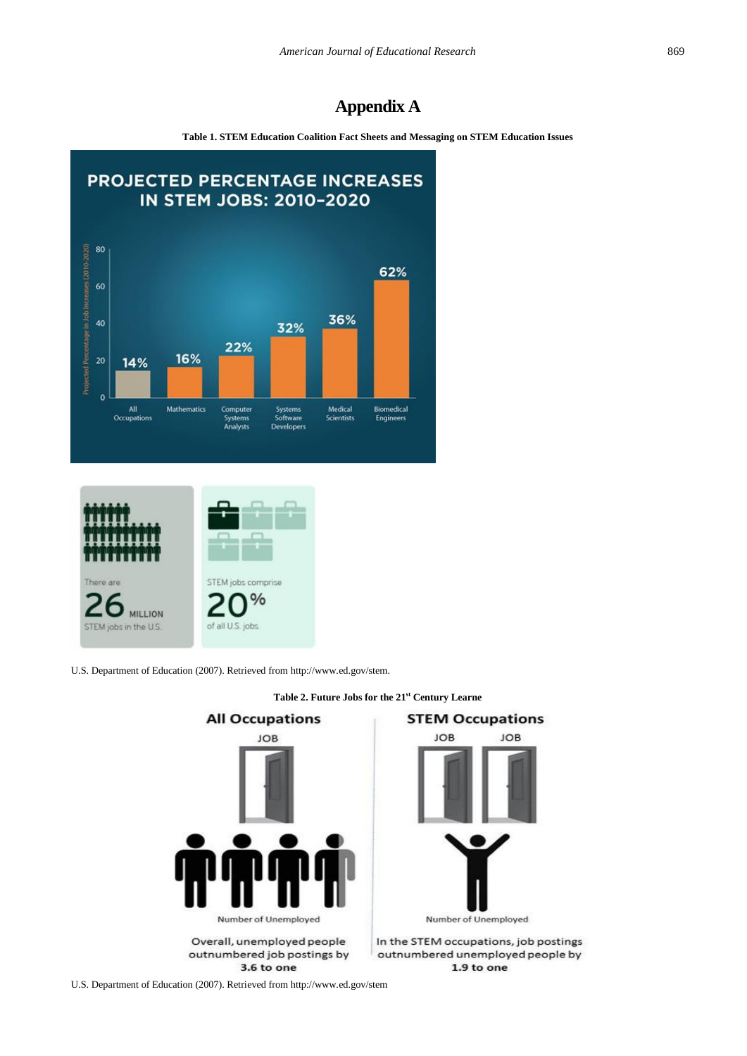### **Appendix A**

**Table 1. STEM Education Coalition Fact Sheets and Messaging on STEM Education Issues**





U.S. Department of Education (2007). Retrieved from http://www.ed.gov/stem.



**Table 2. Future Jobs for the 21st Century Learne**

U.S. Department of Education (2007). Retrieved from http://www.ed.gov/stem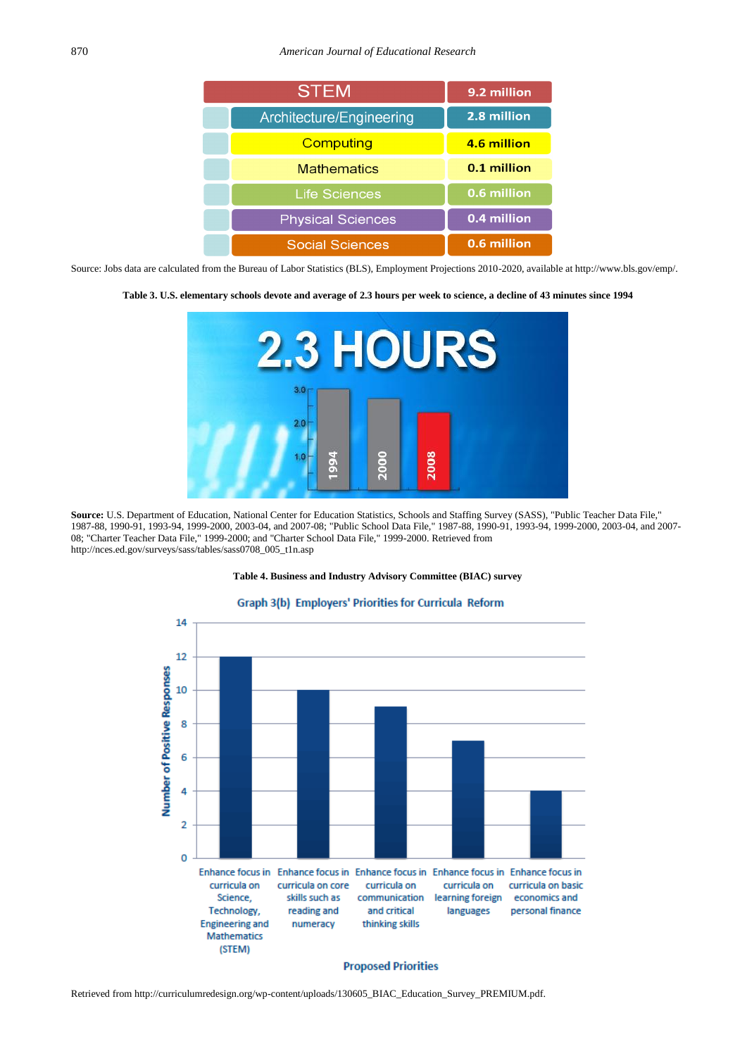| <b>STEM</b>              | 9.2 million |  |  |
|--------------------------|-------------|--|--|
| Architecture/Engineering | 2.8 million |  |  |
| Computing                | 4.6 million |  |  |
| <b>Mathematics</b>       | 0.1 million |  |  |
| <b>Life Sciences</b>     | 0.6 million |  |  |
| <b>Physical Sciences</b> | 0.4 million |  |  |
| <b>Social Sciences</b>   | 0.6 million |  |  |

Source: Jobs data are calculated from the Bureau of Labor Statistics (BLS), Employment Projections 2010-2020, available at http://www.bls.gov/emp/.

#### **Table 3. U.S. elementary schools devote and average of 2.3 hours per week to science, a decline of 43 minutes since 1994**



**Source:** U.S. Department of Education, National Center for Education Statistics, Schools and Staffing Survey (SASS), "Public Teacher Data File," 1987-88, 1990-91, 1993-94, 1999-2000, 2003-04, and 2007-08; "Public School Data File," 1987-88, 1990-91, 1993-94, 1999-2000, 2003-04, and 2007- 08; "Charter Teacher Data File," 1999-2000; and "Charter School Data File," 1999-2000. Retrieved from http://nces.ed.gov/surveys/sass/tables/sass0708\_005\_t1n.asp

#### **Table 4. Business and Industry Advisory Committee (BIAC) survey**



### **Proposed Priorities**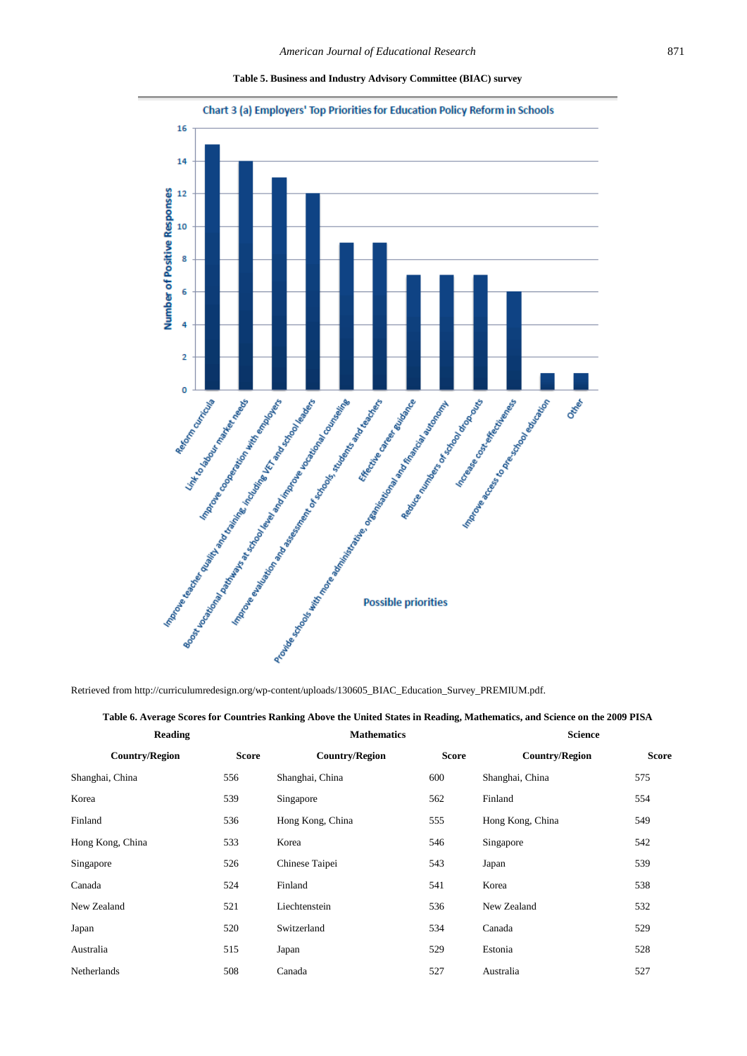**Table 5. Business and Industry Advisory Committee (BIAC) survey**



Retrieved from http://curriculumredesign.org/wp-content/uploads/130605\_BIAC\_Education\_Survey\_PREMIUM.pdf.

| <b>Reading</b>        |              | <b>Mathematics</b>    |              | <b>Science</b>        |       |  |
|-----------------------|--------------|-----------------------|--------------|-----------------------|-------|--|
| <b>Country/Region</b> | <b>Score</b> | <b>Country/Region</b> | <b>Score</b> | <b>Country/Region</b> | Score |  |
| Shanghai, China       | 556          | Shanghai, China       | 600          | Shanghai, China       | 575   |  |
| Korea                 | 539          | Singapore             | 562          | Finland               | 554   |  |
| Finland               | 536          | Hong Kong, China      | 555          | Hong Kong, China      | 549   |  |
| Hong Kong, China      | 533          | Korea                 | 546          | Singapore             | 542   |  |
| Singapore             | 526          | Chinese Taipei        | 543          | Japan                 | 539   |  |
| Canada                | 524          | Finland               | 541          | Korea                 | 538   |  |
| New Zealand           | 521          | Liechtenstein         | 536          | New Zealand           | 532   |  |
| Japan                 | 520          | Switzerland           | 534          | Canada                | 529   |  |
| Australia             | 515          | Japan                 | 529          | Estonia               | 528   |  |
| <b>Netherlands</b>    | 508          | Canada                | 527          | Australia             | 527   |  |

### **Table 6. Average Scores for Countries Ranking Above the United States in Reading, Mathematics, and Science on the 2009 PISA**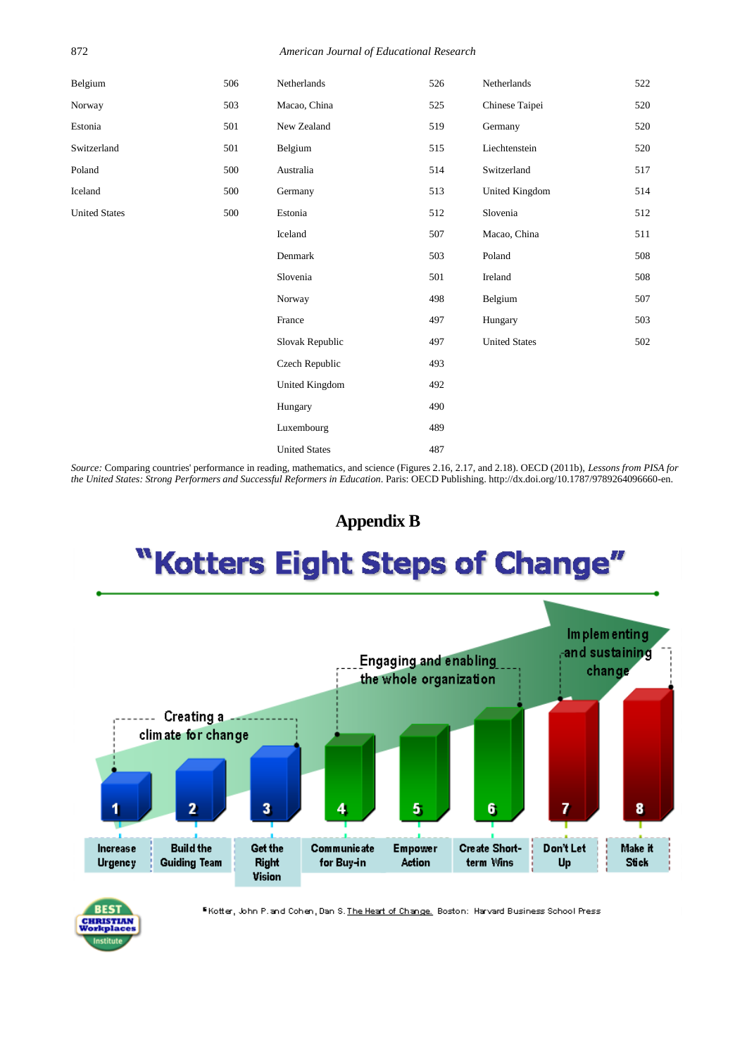#### 872 *American Journal of Educational Research*

| Belgium                     | 506 | Netherlands          | 526 | Netherlands          | 522 |
|-----------------------------|-----|----------------------|-----|----------------------|-----|
| Norway                      | 503 | Macao, China         | 525 | Chinese Taipei       | 520 |
| Estonia                     | 501 | New Zealand          | 519 | Germany              | 520 |
| Switzerland                 | 501 | Belgium              | 515 | Liechtenstein        | 520 |
| Poland                      | 500 | Australia            | 514 | Switzerland          |     |
| Iceland                     | 500 | Germany              | 513 | United Kingdom       | 514 |
| <b>United States</b><br>500 |     | Estonia              | 512 | Slovenia             | 512 |
|                             |     | Iceland              | 507 | Macao, China         | 511 |
|                             |     | Denmark              | 503 | Poland               | 508 |
|                             |     | Slovenia             | 501 | Ireland              | 508 |
|                             |     | Norway               | 498 | Belgium              | 507 |
|                             |     | France               | 497 | Hungary              | 503 |
|                             |     | Slovak Republic      | 497 | <b>United States</b> | 502 |
|                             |     | Czech Republic       | 493 |                      |     |
|                             |     | United Kingdom       | 492 |                      |     |
|                             |     | Hungary              | 490 |                      |     |
|                             |     | Luxembourg           | 489 |                      |     |
|                             |     | <b>United States</b> | 487 |                      |     |

*Source:* Comparing countries' performance in reading, mathematics, and science (Figures 2.16, 2.17, and 2.18). OECD (2011b), *Lessons from PISA for the United States: Strong Performers and Successful Reformers in Education*. Paris: OECD Publishing. http://dx.doi.org/10.1787/9789264096660-en.

### **Appendix B**

# "Kotters Eight Steps of Change"





FKotter, John P. and Cohen, Dan S. The Heart of Change. Boston: Harvard Business School Press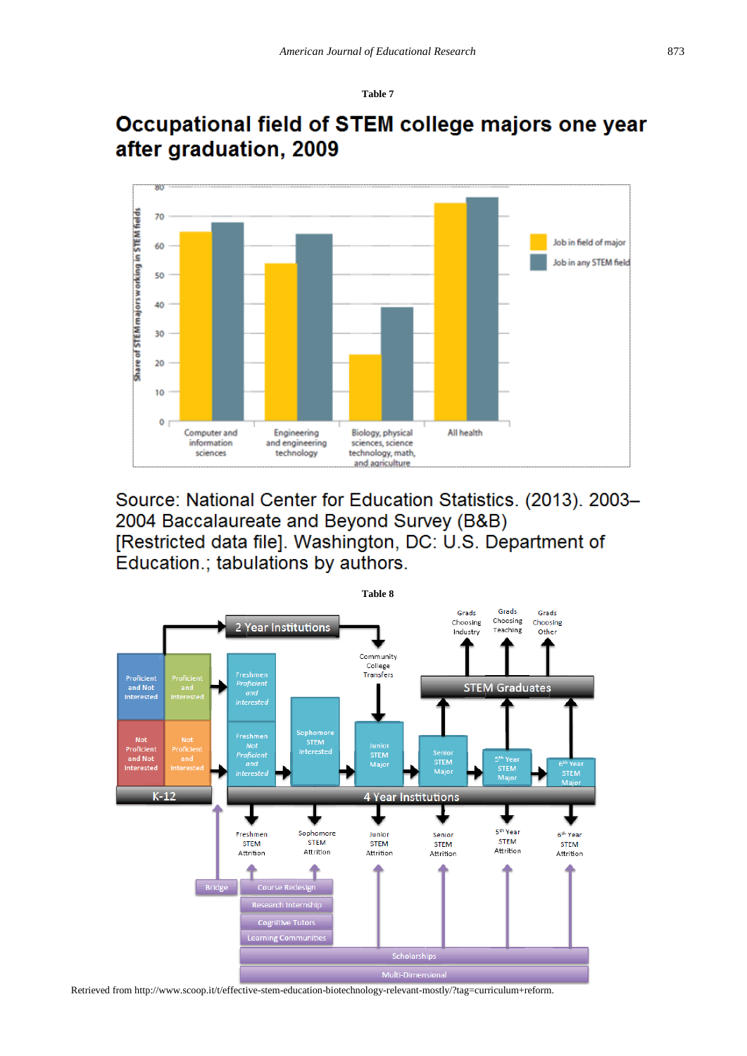

### Occupational field of STEM college majors one year after graduation, 2009



Source: National Center for Education Statistics. (2013). 2003-2004 Baccalaureate and Beyond Survey (B&B) [Restricted data file]. Washington, DC: U.S. Department of Education.; tabulations by authors.



Retrieved from http://www.scoop.it/t/effective-stem-education-biotechnology-relevant-mostly/?tag=curriculum+reform.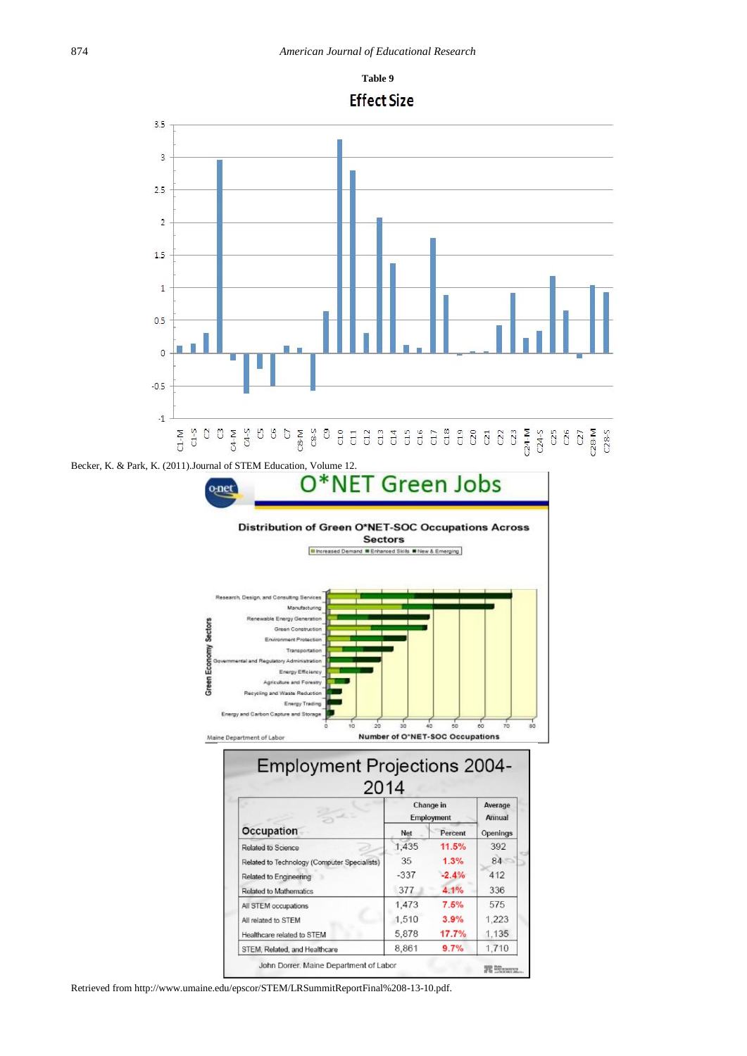



Retrieved from http://www.umaine.edu/epscor/STEM/LRSummitReportFinal%208-13-10.pdf.